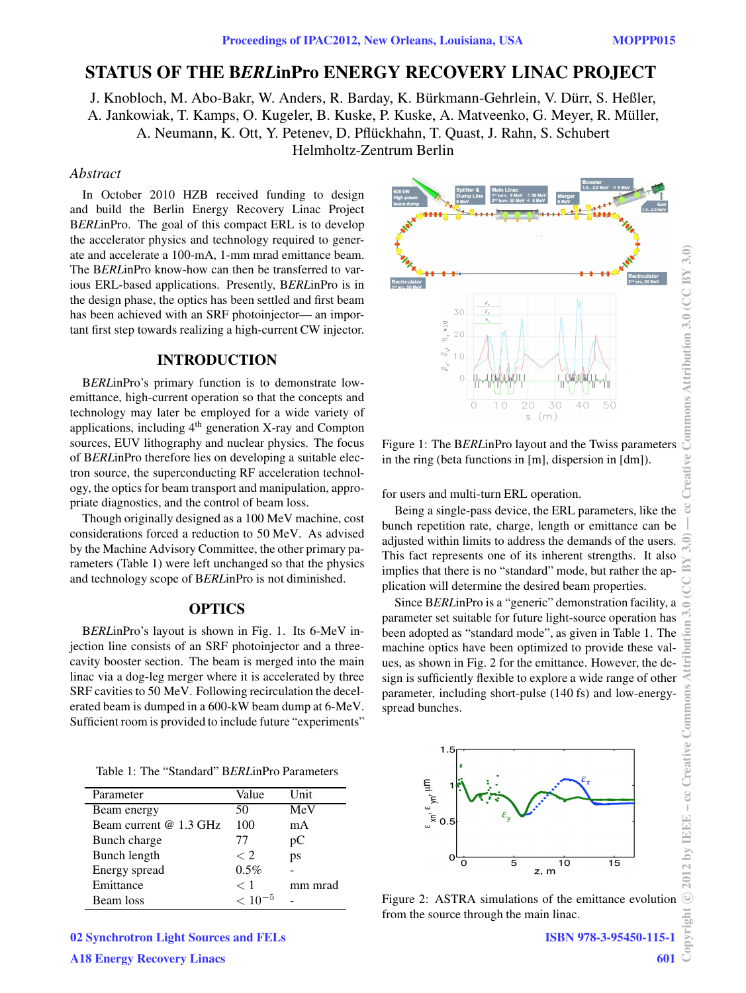# **STATUS OF THE B***ERL***inPro ENERGY RECOVERY LINAC PROJECT**

J. Knobloch, M. Abo-Bakr, W. Anders, R. Barday, K. Bürkmann-Gehrlein, V. Dürr, S. Heßler, A. Jankowiak, T. Kamps, O. Kugeler, B. Kuske, P. Kuske, A. Matveenko, G. Meyer, R. Müller, A. Neumann, K. Ott, Y. Petenev, D. Pflückhahn, T. Quast, J. Rahn, S. Schubert Helmholtz-Zentrum Berlin

#### *Abstract*

In October 2010 HZB received funding to design and build the Berlin Energy Recovery Linac Project B*ERL*inPro. The goal of this compact ERL is to develop the accelerator physics and technology required to generate and accelerate a 100-mA, 1-mm mrad emittance beam. The B*ERL*inPro know-how can then be transferred to various ERL-based applications. Presently, B*ERL*inPro is in the design phase, the optics has been settled and first beam has been achieved with an SRF photoinjector— an important first step towards realizing a high-current CW injector.

# **INTRODUCTION**

B*ERL*inPro's primary function is to demonstrate lowemittance, high-current operation so that the concepts and technology may later be employed for a wide variety of applications, including  $4<sup>th</sup>$  generation X-ray and Compton sources, EUV lithography and nuclear physics. The focus of B*ERL*inPro therefore lies on developing a suitable electron source, the superconducting RF acceleration technology, the optics for beam transport and manipulation, appropriate diagnostics, and the control of beam loss.

Though originally designed as a 100 MeV machine, cost considerations forced a reduction to 50 MeV. As advised by the Machine Advisory Committee, the other primary parameters (Table 1) were left unchanged so that the physics and technology scope of B*ERL*inPro is not diminished.

## **OPTICS**

B*ERL*inPro's layout is shown in Fig. 1. Its 6-MeV injection line consists of an SRF photoinjector and a threecavity booster section. The beam is merged into the main linac via a dog-leg merger where it is accelerated by three SRF cavities to 50 MeV. Following recirculation the decelerated beam is dumped in a 600-kW beam dump at 6-MeV. Sufficient room is provided to include future "experiments"

Table 1: The "Standard" B*ERL*inPro Parameters

| Parameter              | Value       | Unit    |
|------------------------|-------------|---------|
| Beam energy            | 50          | MeV     |
| Beam current @ 1.3 GHz | 100         | mA      |
| Bunch charge           | 77          | рC      |
| Bunch length           | $\langle 2$ | ps      |
| Energy spread          | 0.5%        |         |
| Emittance              | $<$ 1       | mm mrad |
| Beam loss              | $< 10^{-5}$ |         |

02 Synchrotron Light Sources and FELs



Figure 1: The B*ERL*inPro layout and the Twiss parameters in the ring (beta functions in [m], dispersion in [dm]).

for users and multi-turn ERL operation.

Being a single-pass device, the ERL parameters, like the bunch repetition rate, charge, length or emittance can be adjusted within limits to address the demands of the users. This fact represents one of its inherent strengths. It also implies that there is no "standard" mode, but rather the application will determine the desired beam properties.

Since B*ERL*inPro is a "generic" demonstration facility, a parameter set suitable for future light-source operation has been adopted as "standard mode", as given in Table 1. The machine optics have been optimized to provide these values, as shown in Fig. 2 for the emittance. However, the design is sufficiently flexible to explore a wide range of other parameter, including short-pulse (140 fs) and low-energyspread bunches.



Figure 2: ASTRA simulations of the emittance evolution from the source through the main linac.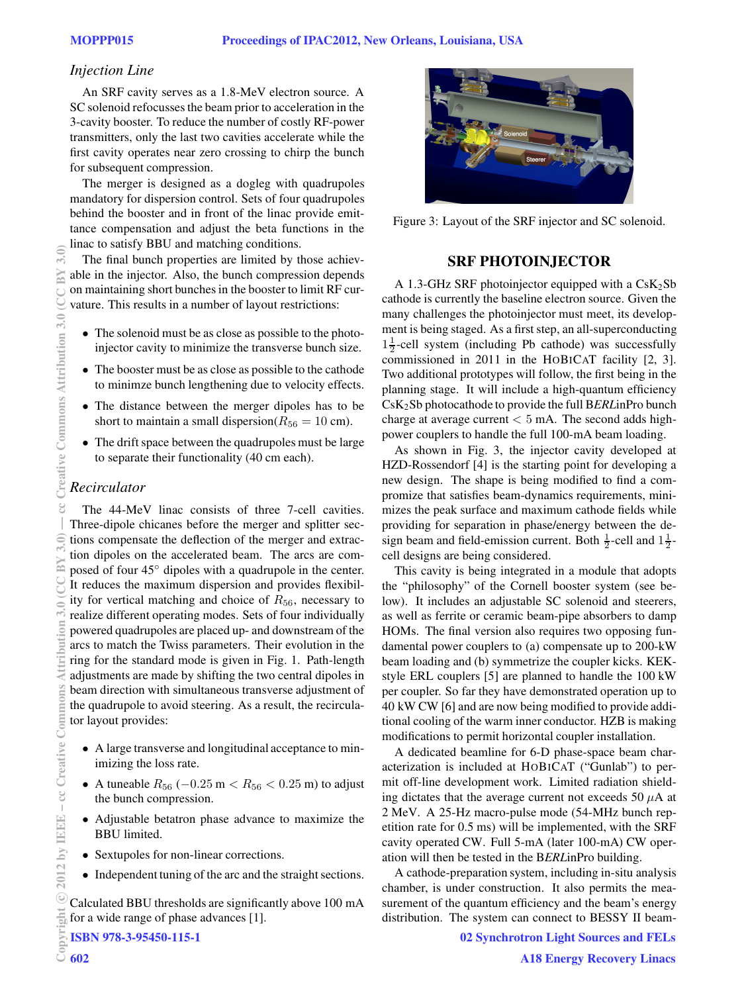# *Injection Line*

An SRF cavity serves as a 1.8-MeV electron source. A SC solenoid refocusses the beam prior to acceleration in the 3-cavity booster. To reduce the number of costly RF-power transmitters, only the last two cavities accelerate while the first cavity operates near zero crossing to chirp the bunch for subsequent compression.

The merger is designed as a dogleg with quadrupoles mandatory for dispersion control. Sets of four quadrupoles behind the booster and in front of the linac provide emittance compensation and adjust the beta functions in the linac to satisfy BBU and matching conditions.

The final bunch properties are limited by those achievable in the injector. Also, the bunch compression depends on maintaining short bunches in the booster to limit RF curvature. This results in a number of layout restrictions:

- The solenoid must be as close as possible to the photoinjector cavity to minimize the transverse bunch size.
- The booster must be as close as possible to the cathode to minimze bunch lengthening due to velocity effects.
- The distance between the merger dipoles has to be short to maintain a small dispersion( $R_{56} = 10$  cm).
- The drift space between the quadrupoles must be large to separate their functionality (40 cm each).

# *Recirculator*

The 44-MeV linac consists of three 7-cell cavities. Three-dipole chicanes before the merger and splitter sections compensate the deflection of the merger and extraction dipoles on the accelerated beam. The arcs are composed of four 45◦ dipoles with a quadrupole in the center. It reduces the maximum dispersion and provides flexibility for vertical matching and choice of  $R_{56}$ , necessary to realize different operating modes. Sets of four individually powered quadrupoles are placed up- and downstream of the arcs to match the Twiss parameters. Their evolution in the ring for the standard mode is given in Fig. 1. Path-length adjustments are made by shifting the two central dipoles in beam direction with simultaneous transverse adjustment of the quadrupole to avoid steering. As a result, the recirculator layout provides:

- A large transverse and longitudinal acceptance to minimizing the loss rate.
- A tuneable  $R_{56}$  ( $-0.25$  m  $< R_{56}$   $< 0.25$  m) to adjust the bunch compression.
- Adjustable betatron phase advance to maximize the BBU limited.
- Sextupoles for non-linear corrections.
- Independent tuning of the arc and the straight sections.

Calculated BBU thresholds are significantly above 100 mA for a wide range of phase advances [1].

ISBN 978-3-95450-115-1



Figure 3: Layout of the SRF injector and SC solenoid.

# **SRF PHOTOINJECTOR**

A 1.3-GHz SRF photoinjector equipped with a  $CsK<sub>2</sub>Sb$ cathode is currently the baseline electron source. Given the many challenges the photoinjector must meet, its development is being staged. As a first step, an all-superconducting  $1\frac{1}{2}$ -cell system (including Pb cathode) was successfully commissioned in 2011 in the HOBICAT facility [2, 3]. Two additional prototypes will follow, the first being in the planning stage. It will include a high-quantum efficiency CsK2Sb photocathode to provide the full B*ERL*inPro bunch charge at average current  $< 5$  mA. The second adds highpower couplers to handle the full 100-mA beam loading.

As shown in Fig. 3, the injector cavity developed at HZD-Rossendorf [4] is the starting point for developing a new design. The shape is being modified to find a compromize that satisfies beam-dynamics requirements, minimizes the peak surface and maximum cathode fields while providing for separation in phase/energy between the design beam and field-emission current. Both  $\frac{1}{2}$ -cell and  $1\frac{1}{2}$ cell designs are being considered.

This cavity is being integrated in a module that adopts the "philosophy" of the Cornell booster system (see below). It includes an adjustable SC solenoid and steerers, as well as ferrite or ceramic beam-pipe absorbers to damp HOMs. The final version also requires two opposing fundamental power couplers to (a) compensate up to 200-kW beam loading and (b) symmetrize the coupler kicks. KEKstyle ERL couplers [5] are planned to handle the 100 kW per coupler. So far they have demonstrated operation up to 40 kW CW [6] and are now being modified to provide additional cooling of the warm inner conductor. HZB is making modifications to permit horizontal coupler installation.

A dedicated beamline for 6-D phase-space beam characterization is included at HOBICAT ("Gunlab") to permit off-line development work. Limited radiation shielding dictates that the average current not exceeds 50  $\mu$ A at 2 MeV. A 25-Hz macro-pulse mode (54-MHz bunch repetition rate for 0.5 ms) will be implemented, with the SRF cavity operated CW. Full 5-mA (later 100-mA) CW operation will then be tested in the B*ERL*inPro building.

A cathode-preparation system, including in-situ analysis chamber, is under construction. It also permits the measurement of the quantum efficiency and the beam's energy distribution. The system can connect to BESSY II beam-

02 Synchrotron Light Sources and FELs